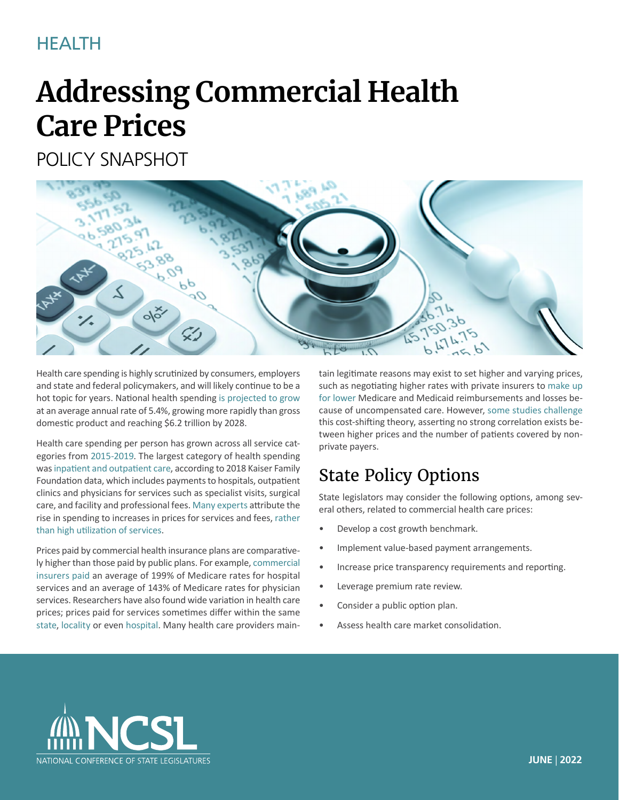## HEALTH

# **Addressing Commercial Health Care Prices**

POLICY SNAPSHOT



Health care spending is highly scrutinized by consumers, employers and state and federal policymakers, and will likely continue to be a hot topic for years. National health spending [is projected to grow](https://www.cms.gov/Research-Statistics-Data-and-Systems/Statistics-Trends-and-Reports/NationalHealthExpendData/NHE-Fact-Sheet)  at an average annual rate of 5.4%, growing more rapidly than gross domestic product and reaching \$6.2 trillion by 2028.

Health care spending per person has grown across all service categories from [2015-2019](https://healthcostinstitute.org/images/pdfs/HCCI_2019_Health_Care_Cost_and_Utilization_Report.pdf). The largest category of health spending was [inpatient and outpatient care,](https://www.healthsystemtracker.org/brief/what-drives-health-spending-in-the-u-s-compared-to-other-countries/) according to 2018 Kaiser Family Foundation data, which includes payments to hospitals, outpatient clinics and physicians for services such as specialist visits, surgical care, and facility and professional fees. [Many experts](https://www.healthsystemtracker.org/brief/what-drives-health-spending-in-the-u-s-compared-to-other-countries/) attribute the rise in spending to increases in prices for services and fees, [rather](https://healthcostinstitute.org/images/pdfs/HCCI_2019_Health_Care_Cost_and_Utilization_Report.pdf)  [than high utilization of services.](https://healthcostinstitute.org/images/pdfs/HCCI_2019_Health_Care_Cost_and_Utilization_Report.pdf)

Prices paid by commercial health insurance plans are comparatively higher than those paid by public plans. For example, [commercial](https://www.kff.org/medicare/issue-brief/how-much-more-than-medicare-do-private-insurers-pay-a-review-of-the-literature/) [insurers paid](https://www.kff.org/medicare/issue-brief/how-much-more-than-medicare-do-private-insurers-pay-a-review-of-the-literature/) an average of 199% of Medicare rates for hospital services and an average of 143% of Medicare rates for physician services. Researchers have also found wide variation in health care prices; prices paid for services sometimes differ within the same [state,](https://www.rand.org/health-care/projects/price-transparency/hospital-pricing/indiana-hospital-prices.html) [locality](https://www.brookings.edu/wp-content/uploads/2020/03/HealthCare_Facts_WEB_FINAL.pdf#page=15) or even [hospital](https://academyhealth.org/publications/2020-02/report-details-price-variation-across-and-within-minnesota-hospitals). Many health care providers maintain legitimate reasons may exist to set higher and varying prices, such as negotiating higher rates with private insurers to [make up](https://www.aha.org/fact-sheets/2020-01-07-fact-sheet-underpayment-medicare-and-medicaid)  [for lower](https://www.aha.org/fact-sheets/2020-01-07-fact-sheet-underpayment-medicare-and-medicaid) Medicare and Medicaid reimbursements and losses because of uncompensated care. However, [some studies challenge](https://www.rand.org/content/dam/rand/pubs/research_reports/RRA1100/RRA1144-1/RAND_RRA1144-1.pdf) this cost-shifting theory, asserting no strong correlation exists between higher prices and the number of patients covered by nonprivate payers.

## State Policy Options

State legislators may consider the following options, among several others, related to commercial health care prices:

- Develop a cost growth benchmark.
- Implement value-based payment arrangements.
- Increase price transparency requirements and reporting.
- Leverage premium rate review.
- Consider a public option plan.
- Assess health care market consolidation.

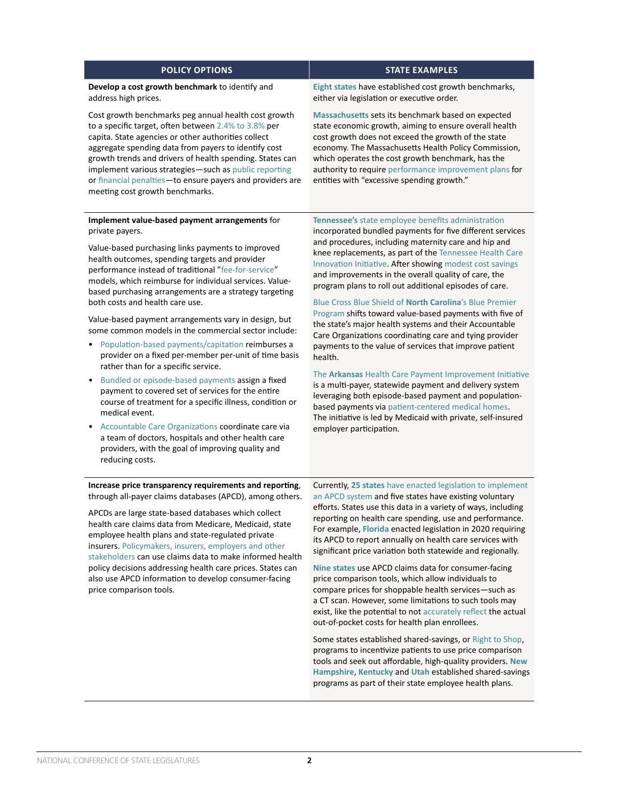## **POLICY OPTIONS STATE EXAMPLES**

### **Develop a cost growth benchmark** to identify and address high prices.

Cost growth benchmarks peg annual health cost growth to a specific target, often between [2.4% to 3.8%](https://www.milbank.org/focus-areas/total-cost-of-care/peterson-milbank/health-care-cost-growth-benchmarks-by-state/) per capita. State agencies or other authorities collect aggregate spending data from payers to identify cost growth trends and drivers of health spending. States can implement various strategies—such as [public reporting](https://news.delaware.gov/2021/04/01/state-releases-first-health-care-benchmark-trend-report-for-201/) or [financial penalties—](https://stateofreform.com/featured/2021/05/gov-brown-signs-cost-growth-target-bill/)to ensure payers and providers are meeting cost growth benchmarks.

### **Implement value-based payment arrangements** for private payers.

Value-based purchasing links payments to improved health outcomes, spending targets and provider performance instead of traditional "[fee-for-service"](https://www.healthcare.gov/glossary/fee-for-service/) models, which reimburse for individual services. Valuebased purchasing arrangements are a strategy targeting both costs and health care use.

Value-based payment arrangements vary in design, but some common models in the commercial sector include:

- [Population-based payments/capitation](https://aspe.hhs.gov/sites/default/files/private/aspe-files/207901/common-apms-reference-guide-2021.pdf#page=12) reimburses a provider on a fixed per-member per-unit of time basis rather than for a specific service.
- [Bundled or episode-based payments](https://www.healthcare.gov/glossary/payment-bundling/) assign a fixed payment to covered set of services for the entire course of treatment for a specific illness, condition or medical event.
- [Accountable Care Organizations](https://www.cms.gov/Medicare/Medicare-Fee-for-Service-Payment/ACO) coordinate care via a team of doctors, hospitals and other health care providers, with the goal of improving quality and reducing costs.

**[Eight states](https://www.milbank.org/focus-areas/total-cost-of-care/peterson-milbank/)** have established cost growth benchmarks, either via legislation or executive order.

**[Massachusetts](https://www.mass.gov/info-details/health-care-cost-growth-benchmark)** sets its benchmark based on expected state economic growth, aiming to ensure overall health cost growth does not exceed the growth of the state economy. The Massachusetts Health Policy Commission, which operates the cost growth benchmark, has the authority to require [performance improvement plans](https://www.mass.gov/service-details/performance-improvement-plans) for entities with "excessive spending growth."

**Tennessee's** [state employee benefits administration](https://www.tn.gov/partnersforhealth.html) incorporated bundled payments for five different services and procedures, including maternity care and hip and knee replacements, as part of the [Tennessee Health Care](https://www.tn.gov/tenncare/health-care-innovation.html)  [Innovation Initiative.](https://www.tn.gov/tenncare/health-care-innovation.html) After showing [modest cost savings](https://www.tn.gov/content/dam/tn/finance/fa-benefits/documents/2018_annual_report.pdf) and improvements in the overall quality of care, the program plans to roll out additional episodes of care.

### [Blue Cross Blue Shield of](https://www.bluecrossnc.com/sites/default/files/document/attachment/providers/public/pdfs/news-and-information/news/Blue Premier_ press release_final_0.pdf) **North Carolina**'s Blue Premier

[Program](https://www.bluecrossnc.com/sites/default/files/document/attachment/providers/public/pdfs/news-and-information/news/Blue Premier_ press release_final_0.pdf) shifts toward value-based payments with five of the state's major health systems and their Accountable Care Organizations coordinating care and tying provider payments to the value of services that improve patient health.

The **Arkansas** [Health Care Payment Improvement Initiative](https://achi.net/newsroom/report-ahcpii-improving-quality-efficiency/) is a multi-payer, statewide payment and delivery system leveraging both episode-based payment and populationbased payments via [patient-centered medical homes](https://www.ahrq.gov/ncepcr/tools/pcmh/defining/index.html). The initiative is led by Medicaid with private, self-insured employer participation.

### **Increase price transparency requirements and reporting**, through all-payer claims databases (APCD), among others.

APCDs are large state-based databases which collect health care claims data from Medicare, Medicaid, state employee health plans and state-regulated private insurers. [Policymakers, insurers, employers and other](https://www.urban.org/sites/default/files/publication/101508/addressing_health_care_market_consolidation_and_high_prices_1.pdf)  [stakeholders](https://www.urban.org/sites/default/files/publication/101508/addressing_health_care_market_consolidation_and_high_prices_1.pdf) can use claims data to make informed health policy decisions addressing health care prices. States can also use APCD information to develop consumer-facing price comparison tools.

Currently, **25 states** [have enacted legislation to implement](https://www.apcdcouncil.org/state/map)  [an APCD system](https://www.apcdcouncil.org/state/map) and five states have existing voluntary efforts. [States use this data](https://www.commonwealthfund.org/sites/default/files/2020-12/McCarthy_State_APCDs_Part2.pdf) in a variety of ways, including reporting on health care spending, use and performance. For example, **[Florida](http://laws.flrules.org/2020/156)** enacted legislation in 2020 requiring its APCD to report annually on health care services with significant price variation both statewide and regionally.

**[Nine states](https://www.ncsl.org/research/health/transparency-and-disclosure-health-costs.aspx)** use APCD claims data for consumer-facing price comparison tools, which allow individuals to compare prices for shoppable health services—such as a CT scan. However, some limitations to such tools may exist, like the potential to not [accurately reflect](https://revcycleintelligence.com/news/new-healthcare-price-transparency-tool-shows-83.9-accuracy-rate) the actual out-of-pocket costs for health plan enrollees.

Some states established shared-savings, or [Right to Shop](https://sourceonhealthcare.org/right-to-shop-programs-encouraging-patients-to-shop-for-high-value-health-care/), programs to incentivize patients to use price comparison tools and seek out affordable, high-quality providers. **[New](https://das.nh.gov/hr/documents/compass memo.pdf)  [Hampshire](https://das.nh.gov/hr/documents/compass memo.pdf)**, **[Kentucky](https://thefga.org/wp-content/uploads/2019/03/RTS-Kentucky-HealthCareIncentivesSavingMoney-DRAFT8.pdf)** and **[Utah](https://le.utah.gov/~2018/bills/static/HB0019.html)** established shared-savings programs as part of their state employee health plans.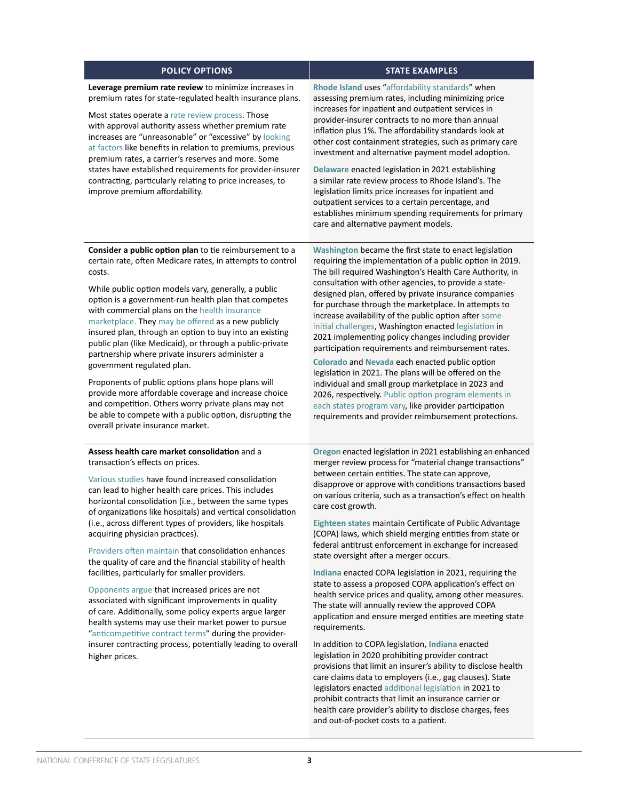| <b>POLICY OPTIONS</b>                                                                                                                                                                                                                                                                                                                                                                                                                                                                                                                                                   | <b>STATE EXAMPLES</b>                                                                                                                                                                                                                                                                                                                                                                                                                                                                                                                                                                                                                                                                                                   |
|-------------------------------------------------------------------------------------------------------------------------------------------------------------------------------------------------------------------------------------------------------------------------------------------------------------------------------------------------------------------------------------------------------------------------------------------------------------------------------------------------------------------------------------------------------------------------|-------------------------------------------------------------------------------------------------------------------------------------------------------------------------------------------------------------------------------------------------------------------------------------------------------------------------------------------------------------------------------------------------------------------------------------------------------------------------------------------------------------------------------------------------------------------------------------------------------------------------------------------------------------------------------------------------------------------------|
| Leverage premium rate review to minimize increases in<br>premium rates for state-regulated health insurance plans.<br>Most states operate a rate review process. Those<br>with approval authority assess whether premium rate<br>increases are "unreasonable" or "excessive" by looking<br>at factors like benefits in relation to premiums, previous<br>premium rates, a carrier's reserves and more. Some<br>states have established requirements for provider-insurer<br>contracting, particularly relating to price increases, to<br>improve premium affordability. | Rhode Island uses "affordability standards" when<br>assessing premium rates, including minimizing price<br>increases for inpatient and outpatient services in<br>provider-insurer contracts to no more than annual<br>inflation plus 1%. The affordability standards look at<br>other cost containment strategies, such as primary care<br>investment and alternative payment model adoption.<br>Delaware enacted legislation in 2021 establishing<br>a similar rate review process to Rhode Island's. The<br>legislation limits price increases for inpatient and<br>outpatient services to a certain percentage, and<br>establishes minimum spending requirements for primary<br>care and alternative payment models. |
| Consider a public option plan to tie reimbursement to a<br>certain rate, often Medicare rates, in attempts to control<br>costs.<br>While public option models vary, generally, a public<br>the contract of the contract of the contract of the contract of the contract of the contract of the contract of                                                                                                                                                                                                                                                              | Washington became the first state to enact legislation<br>requiring the implementation of a public option in 2019.<br>The bill required Washington's Health Care Authority, in<br>consultation with other agencies, to provide a state-<br>designed plan, offered by private insurance companies                                                                                                                                                                                                                                                                                                                                                                                                                        |

option is a government-run health plan that competes with commercial plans on the [health insurance](https://www.healthcare.gov/glossary/health-insurance-marketplace-glossary/)  [marketplace.](https://www.healthcare.gov/glossary/health-insurance-marketplace-glossary/) They [may be offered](https://publicoption.chir.georgetown.edu/public-option-101/) as a new publicly insured plan, through an option to buy into an existing public plan (like Medicaid), or through a public-private partnership where private insurers administer a government regulated plan.

Proponents of public options plans hope plans will provide more affordable coverage and increase choice and competition. Others worry private plans may not be able to compete with a public option, disrupting the overall private insurance market.

## **Assess health care market consolidation** and a transaction's effects on prices.

[Various studies](https://www.kff.org/health-costs/issue-brief/what-we-know-about-provider-consolidation/) have found increased consolidation can lead to higher health care prices. This includes horizontal consolidation (i.e., between the same types of organizations like hospitals) and vertical consolidation (i.e., across different types of providers, like hospitals acquiring physician practices).

[Providers often maintain](https://www.aha.org/press-releases/2021-10-12-new-report-partnerships-mergers-and-acquisitions-can-help-hospitals-and) that consolidation enhances the quality of care and the financial stability of health facilities, particularly for smaller providers.

[Opponents argue](https://www.nejm.org/doi/10.1056/NEJMsa1901383) that increased prices are not associated with significant improvements in quality of care. Additionally, some policy experts argue larger health systems may use their market power to pursue ["anticompetitive contract terms"](https://sourceonhealthcare.org/provider-contracts/) during the providerinsurer contracting process, potentially leading to overall higher prices.

2026, respectively. [Public option program elements in](https://www.commonwealthfund.org/blog/2021/state-public-option-style-laws-what-policymakers-need-know)  [each states program vary,](https://www.commonwealthfund.org/blog/2021/state-public-option-style-laws-what-policymakers-need-know) like provider participation requirements and provider reimbursement protections. **[Oregon](https://olis.oregonlegislature.gov/liz/2021R1/Measures/Overview/HB2362)** enacted legislation in 2021 establishing an enhanced merger review process for "material change transactions" between certain entities. The state can approve, disapprove or approve with conditions transactions based on various criteria, such as a transaction's effect on health

for purchase through the marketplace. In attempts to increase availability of the public option after [some](https://khn.org/news/article/other-states-keep-watchful-eye-on-snags-in-washingtons-pioneering-public-option-plan/)  [initial challenges,](https://khn.org/news/article/other-states-keep-watchful-eye-on-snags-in-washingtons-pioneering-public-option-plan/) Washington enacted [legislation](https://app.leg.wa.gov/billsummary?BillNumber=5377&Year=2021&Initiative=false) in 2021 implementing policy changes including provider participation requirements and reimbursement rates. **[Colorado](https://leg.colorado.gov/bills/hb21-1232)** and **[Nevada](https://www.leg.state.nv.us/App/NELIS/REL/81st2021/Bill/8151/Text)** each enacted public option legislation in 2021. The plans will be offered on the individual and small group marketplace in 2023 and

**[Eighteen states](https://sourceonhealthcare.org/updated-states-with-certificate-of-public-advantage-copa-laws/)** maintain Certificate of Public Advantage (COPA) laws, which shield merging entities from state or federal antitrust enforcement in exchange for increased state oversight after a merger occurs.

care cost growth.

**[Indiana](http://iga.in.gov/legislative/2021/bills/senate/416)** enacted COPA legislation in 2021, requiring the state to assess a proposed COPA application's effect on health service prices and quality, among other measures. The state will annually review the approved COPA application and ensure merged entities are meeting state requirements.

In addition to COPA legislation, **[Indiana](http://iga.in.gov/legislative/2020/bills/senate/5)** enacted legislation in 2020 prohibiting provider contract provisions that limit an insurer's ability to disclose health care claims data to employers (i.e., gag clauses). State legislators enacted [additional legislation](http://iga.in.gov/legislative/2021/bills/house/1421#digest-heading) in 2021 to prohibit contracts that limit an insurance carrier or health care provider's ability to disclose charges, fees and out-of-pocket costs to a patient.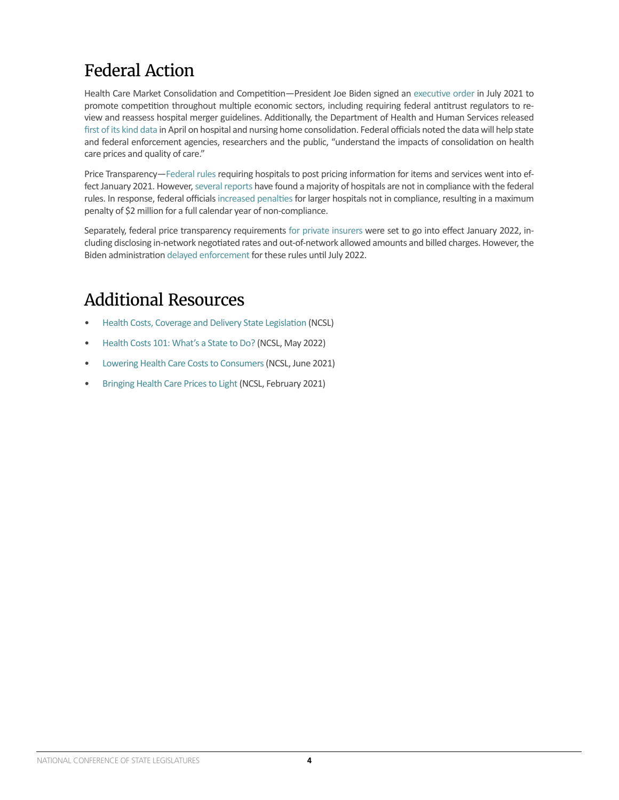## Federal Action

Health Care Market Consolidation and Competition—President Joe Biden signed an [executive order](https://www.hhs.gov/about/news/2022/04/20/hhs-releases-new-data-and-report-hospital-and-nursing-home-ownership.html) in July 2021 to promote competition throughout multiple economic sectors, including requiring federal antitrust regulators to review and reassess hospital merger guidelines. Additionally, the Department of Health and Human Services released [first of its kind data](https://www.hhs.gov/about/news/2022/04/20/hhs-releases-new-data-and-report-hospital-and-nursing-home-ownership.html) in April on hospital and nursing home consolidation. Federal officials noted the data will help state and federal enforcement agencies, researchers and the public, "understand the impacts of consolidation on health care prices and quality of care."

Price Transparency[—Federal rules](https://www.cms.gov/hospital-price-transparency) requiring hospitals to post pricing information for items and services went into effect January 2021. However, [several reports](https://www.patientrightsadvocate.org/semi-annual-compliance-report-2022) have found a majority of hospitals are not in compliance with the federal rules. In response, federal officials [increased penalties](https://www.cms.gov/newsroom/press-releases/cms-oppsasc-final-rule-increases-price-transparency-patient-safety-and-access-quality-care) for larger hospitals not in compliance, resulting in a maximum penalty of \$2 million for a full calendar year of non-compliance.

Separately, federal price transparency requirements [for private insurers](https://www.hhs.gov/guidance/sites/default/files/hhs-guidance-documents/FAQs About ACA %26 CAA Implementation Part 49_MM 508_08-20-21.pdf) were set to go into effect January 2022, including disclosing in-network negotiated rates and out-of-network allowed amounts and billed charges. However, the Biden administration [delayed enforcement](https://www.fiercehealthcare.com/payer/cms-delays-enforcement-key-parts-price-transparency-rule-by-six-months) for these rules until July 2022.

## Additional Resources

- [Health Costs, Coverage and Delivery State Legislation](https://www.ncsl.org/research/health/health-costs-coverage-and-delivery-state-legislation.aspx) (NCSL)
- [Health Costs 101: What's a State to Do?](https://www.ncsl.org/research/health/health-care-costs-101-what-s-a-state-to-do-webinar.aspx) (NCSL, May 2022)
- [Lowering Health Care Costs to Consumers](https://www.ncsl.org/research/health/health-policy-snapshot-lowering-health-care-costs-for-consumers.aspx) (NCSL, June 2021)
- [Bringing Health Care Prices to Light \(](https://www.ncsl.org/research/health/bringing-health-care-prices-to-light.aspx)NCSL, February 2021)